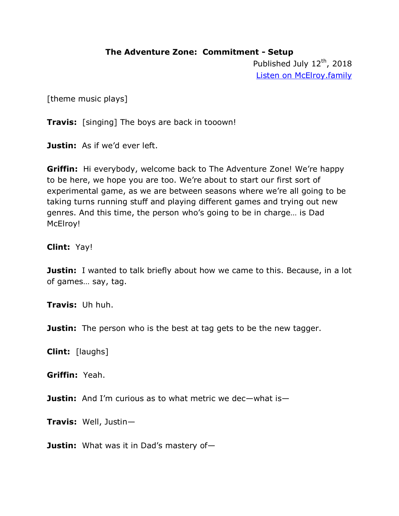#### **The Adventure Zone: Commitment - Setup**

Published July 12<sup>th</sup>, 2018 [Listen on McElroy.family](https://www.maximumfun.org/adventure-zone/setup-adventure-zone-commitment)

[theme music plays]

**Travis:** [singing] The boys are back in tooown!

**Justin:** As if we'd ever left.

**Griffin:** Hi everybody, welcome back to The Adventure Zone! We're happy to be here, we hope you are too. We're about to start our first sort of experimental game, as we are between seasons where we're all going to be taking turns running stuff and playing different games and trying out new genres. And this time, the person who's going to be in charge… is Dad McElroy!

#### **Clint:** Yay!

**Justin:** I wanted to talk briefly about how we came to this. Because, in a lot of games… say, tag.

**Travis:** Uh huh.

**Justin:** The person who is the best at tag gets to be the new tagger.

**Clint:** [laughs]

**Griffin:** Yeah.

**Justin:** And I'm curious as to what metric we dec—what is—

**Travis:** Well, Justin—

**Justin:** What was it in Dad's mastery of—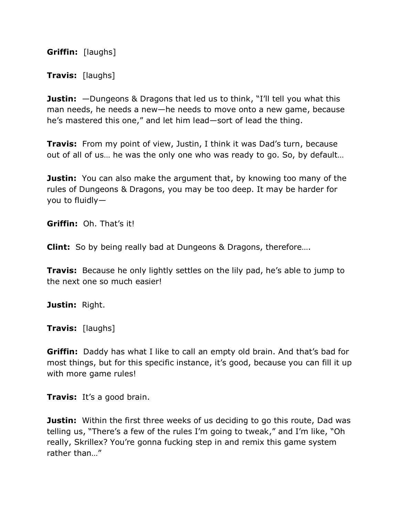**Griffin:** [laughs]

**Travis:** [laughs]

**Justin:** —Dungeons & Dragons that led us to think, "I'll tell you what this man needs, he needs a new—he needs to move onto a new game, because he's mastered this one," and let him lead—sort of lead the thing.

**Travis:** From my point of view, Justin, I think it was Dad's turn, because out of all of us… he was the only one who was ready to go. So, by default…

**Justin:** You can also make the argument that, by knowing too many of the rules of Dungeons & Dragons, you may be too deep. It may be harder for you to fluidly—

**Griffin:** Oh. That's it!

**Clint:** So by being really bad at Dungeons & Dragons, therefore….

**Travis:** Because he only lightly settles on the lily pad, he's able to jump to the next one so much easier!

**Justin:** Right.

**Travis:** [laughs]

**Griffin:** Daddy has what I like to call an empty old brain. And that's bad for most things, but for this specific instance, it's good, because you can fill it up with more game rules!

**Travis:** It's a good brain.

**Justin:** Within the first three weeks of us deciding to go this route, Dad was telling us, "There's a few of the rules I'm going to tweak," and I'm like, "Oh really, Skrillex? You're gonna fucking step in and remix this game system rather than..."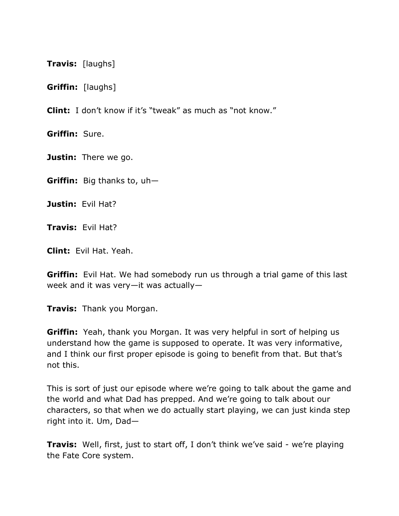**Travis:** [laughs]

**Griffin:** [laughs]

**Clint:** I don't know if it's "tweak" as much as "not know."

**Griffin:** Sure.

**Justin:** There we go.

**Griffin:** Big thanks to, uh—

**Justin:** Evil Hat?

**Travis:** Evil Hat?

**Clint:** Evil Hat. Yeah.

**Griffin:** Evil Hat. We had somebody run us through a trial game of this last week and it was very—it was actually—

**Travis:** Thank you Morgan.

**Griffin:** Yeah, thank you Morgan. It was very helpful in sort of helping us understand how the game is supposed to operate. It was very informative, and I think our first proper episode is going to benefit from that. But that's not this.

This is sort of just our episode where we're going to talk about the game and the world and what Dad has prepped. And we're going to talk about our characters, so that when we do actually start playing, we can just kinda step right into it. Um, Dad—

**Travis:** Well, first, just to start off, I don't think we've said - we're playing the Fate Core system.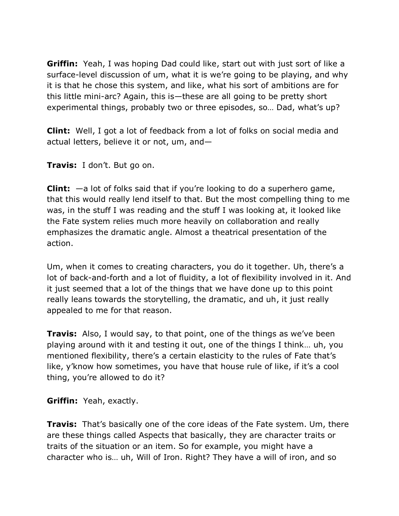**Griffin:** Yeah, I was hoping Dad could like, start out with just sort of like a surface-level discussion of um, what it is we're going to be playing, and why it is that he chose this system, and like, what his sort of ambitions are for this little mini-arc? Again, this is—these are all going to be pretty short experimental things, probably two or three episodes, so… Dad, what's up?

**Clint:** Well, I got a lot of feedback from a lot of folks on social media and actual letters, believe it or not, um, and—

**Travis:** I don't. But go on.

**Clint:** —a lot of folks said that if you're looking to do a superhero game, that this would really lend itself to that. But the most compelling thing to me was, in the stuff I was reading and the stuff I was looking at, it looked like the Fate system relies much more heavily on collaboration and really emphasizes the dramatic angle. Almost a theatrical presentation of the action.

Um, when it comes to creating characters, you do it together. Uh, there's a lot of back-and-forth and a lot of fluidity, a lot of flexibility involved in it. And it just seemed that a lot of the things that we have done up to this point really leans towards the storytelling, the dramatic, and uh, it just really appealed to me for that reason.

**Travis:** Also, I would say, to that point, one of the things as we've been playing around with it and testing it out, one of the things I think… uh, you mentioned flexibility, there's a certain elasticity to the rules of Fate that's like, y'know how sometimes, you have that house rule of like, if it's a cool thing, you're allowed to do it?

**Griffin:** Yeah, exactly.

**Travis:** That's basically one of the core ideas of the Fate system. Um, there are these things called Aspects that basically, they are character traits or traits of the situation or an item. So for example, you might have a character who is… uh, Will of Iron. Right? They have a will of iron, and so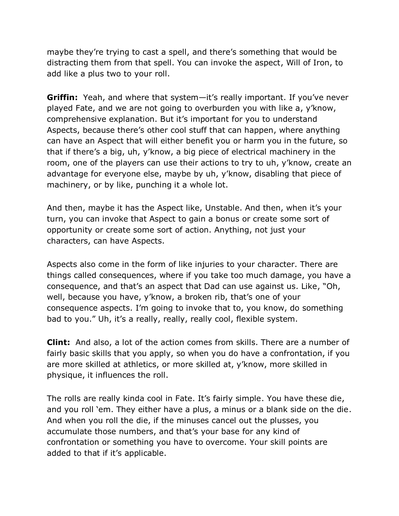maybe they're trying to cast a spell, and there's something that would be distracting them from that spell. You can invoke the aspect, Will of Iron, to add like a plus two to your roll.

**Griffin:** Yeah, and where that system—it's really important. If you've never played Fate, and we are not going to overburden you with like a, y'know, comprehensive explanation. But it's important for you to understand Aspects, because there's other cool stuff that can happen, where anything can have an Aspect that will either benefit you or harm you in the future, so that if there's a big, uh, y'know, a big piece of electrical machinery in the room, one of the players can use their actions to try to uh, y'know, create an advantage for everyone else, maybe by uh, y'know, disabling that piece of machinery, or by like, punching it a whole lot.

And then, maybe it has the Aspect like, Unstable. And then, when it's your turn, you can invoke that Aspect to gain a bonus or create some sort of opportunity or create some sort of action. Anything, not just your characters, can have Aspects.

Aspects also come in the form of like injuries to your character. There are things called consequences, where if you take too much damage, you have a consequence, and that's an aspect that Dad can use against us. Like, "Oh, well, because you have, y'know, a broken rib, that's one of your consequence aspects. I'm going to invoke that to, you know, do something bad to you." Uh, it's a really, really, really cool, flexible system.

**Clint:** And also, a lot of the action comes from skills. There are a number of fairly basic skills that you apply, so when you do have a confrontation, if you are more skilled at athletics, or more skilled at, y'know, more skilled in physique, it influences the roll.

The rolls are really kinda cool in Fate. It's fairly simple. You have these die, and you roll 'em. They either have a plus, a minus or a blank side on the die. And when you roll the die, if the minuses cancel out the plusses, you accumulate those numbers, and that's your base for any kind of confrontation or something you have to overcome. Your skill points are added to that if it's applicable.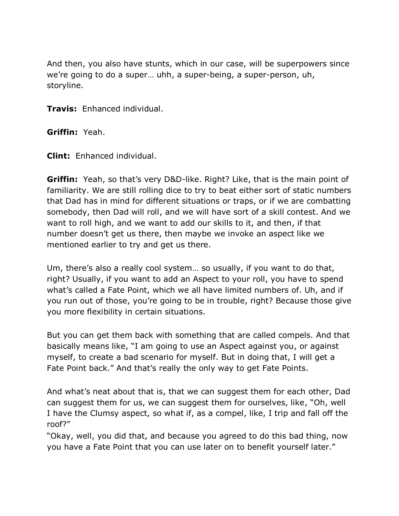And then, you also have stunts, which in our case, will be superpowers since we're going to do a super… uhh, a super-being, a super-person, uh, storyline.

**Travis:** Enhanced individual.

**Griffin:** Yeah.

**Clint:** Enhanced individual.

**Griffin:** Yeah, so that's very D&D-like. Right? Like, that is the main point of familiarity. We are still rolling dice to try to beat either sort of static numbers that Dad has in mind for different situations or traps, or if we are combatting somebody, then Dad will roll, and we will have sort of a skill contest. And we want to roll high, and we want to add our skills to it, and then, if that number doesn't get us there, then maybe we invoke an aspect like we mentioned earlier to try and get us there.

Um, there's also a really cool system… so usually, if you want to do that, right? Usually, if you want to add an Aspect to your roll, you have to spend what's called a Fate Point, which we all have limited numbers of. Uh, and if you run out of those, you're going to be in trouble, right? Because those give you more flexibility in certain situations.

But you can get them back with something that are called compels. And that basically means like, "I am going to use an Aspect against you, or against myself, to create a bad scenario for myself. But in doing that, I will get a Fate Point back." And that's really the only way to get Fate Points.

And what's neat about that is, that we can suggest them for each other, Dad can suggest them for us, we can suggest them for ourselves, like, "Oh, well I have the Clumsy aspect, so what if, as a compel, like, I trip and fall off the roof?"

"Okay, well, you did that, and because you agreed to do this bad thing, now you have a Fate Point that you can use later on to benefit yourself later."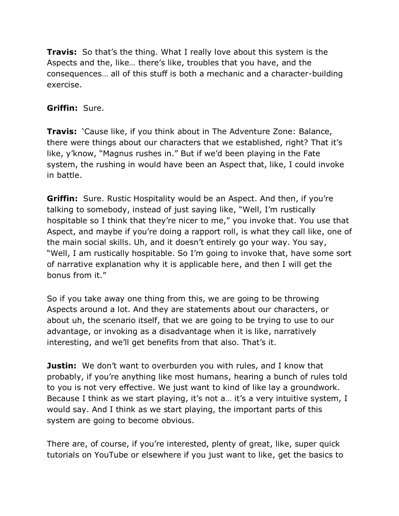**Travis:** So that's the thing. What I really love about this system is the Aspects and the, like… there's like, troubles that you have, and the consequences… all of this stuff is both a mechanic and a character-building exercise.

# **Griffin:** Sure.

**Travis:** *Cause like, if you think about in The Adventure Zone: Balance,* there were things about our characters that we established, right? That it's like, y'know, "Magnus rushes in." But if we'd been playing in the Fate system, the rushing in would have been an Aspect that, like, I could invoke in battle.

**Griffin:** Sure. Rustic Hospitality would be an Aspect. And then, if you're talking to somebody, instead of just saying like, "Well, I'm rustically hospitable so I think that they're nicer to me," you invoke that. You use that Aspect, and maybe if you're doing a rapport roll, is what they call like, one of the main social skills. Uh, and it doesn't entirely go your way. You say, "Well, I am rustically hospitable. So I'm going to invoke that, have some sort of narrative explanation why it is applicable here, and then I will get the bonus from it."

So if you take away one thing from this, we are going to be throwing Aspects around a lot. And they are statements about our characters, or about uh, the scenario itself, that we are going to be trying to use to our advantage, or invoking as a disadvantage when it is like, narratively interesting, and we'll get benefits from that also. That's it.

**Justin:** We don't want to overburden you with rules, and I know that probably, if you're anything like most humans, hearing a bunch of rules told to you is not very effective. We just want to kind of like lay a groundwork. Because I think as we start playing, it's not a... it's a very intuitive system, I would say. And I think as we start playing, the important parts of this system are going to become obvious.

There are, of course, if you're interested, plenty of great, like, super quick tutorials on YouTube or elsewhere if you just want to like, get the basics to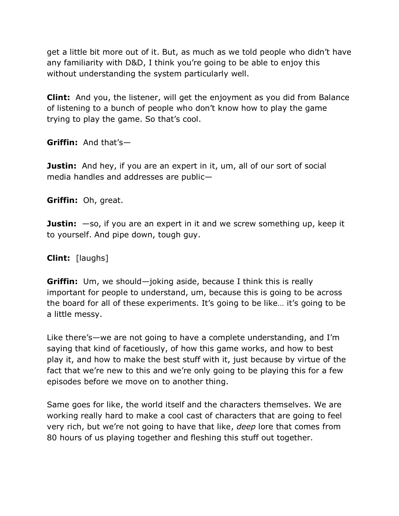get a little bit more out of it. But, as much as we told people who didn't have any familiarity with D&D, I think you're going to be able to enjoy this without understanding the system particularly well.

**Clint:** And you, the listener, will get the enjoyment as you did from Balance of listening to a bunch of people who don't know how to play the game trying to play the game. So that's cool.

**Griffin:** And that's—

**Justin:** And hey, if you are an expert in it, um, all of our sort of social media handles and addresses are public—

**Griffin:** Oh, great.

**Justin:**  $-\infty$ , if you are an expert in it and we screw something up, keep it to yourself. And pipe down, tough guy.

**Clint:** [laughs]

**Griffin:** Um, we should—joking aside, because I think this is really important for people to understand, um, because this is going to be across the board for all of these experiments. It's going to be like… it's going to be a little messy.

Like there's—we are not going to have a complete understanding, and I'm saying that kind of facetiously, of how this game works, and how to best play it, and how to make the best stuff with it, just because by virtue of the fact that we're new to this and we're only going to be playing this for a few episodes before we move on to another thing.

Same goes for like, the world itself and the characters themselves. We are working really hard to make a cool cast of characters that are going to feel very rich, but we're not going to have that like, *deep* lore that comes from 80 hours of us playing together and fleshing this stuff out together.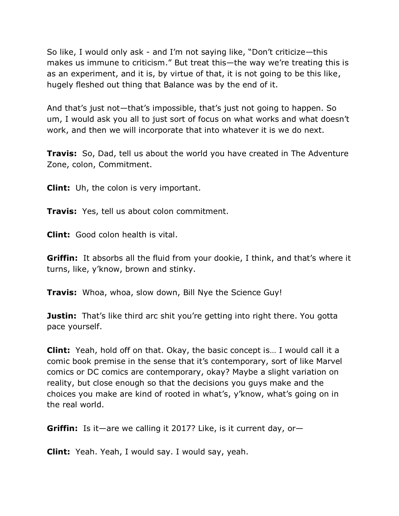So like, I would only ask - and I'm not saying like, "Don't criticize—this makes us immune to criticism." But treat this—the way we're treating this is as an experiment, and it is, by virtue of that, it is not going to be this like, hugely fleshed out thing that Balance was by the end of it.

And that's just not—that's impossible, that's just not going to happen. So um, I would ask you all to just sort of focus on what works and what doesn't work, and then we will incorporate that into whatever it is we do next.

**Travis:** So, Dad, tell us about the world you have created in The Adventure Zone, colon, Commitment.

**Clint:** Uh, the colon is very important.

**Travis:** Yes, tell us about colon commitment.

**Clint:** Good colon health is vital.

**Griffin:** It absorbs all the fluid from your dookie, I think, and that's where it turns, like, y'know, brown and stinky.

**Travis:** Whoa, whoa, slow down, Bill Nye the Science Guy!

**Justin:** That's like third arc shit you're getting into right there. You gotta pace yourself.

**Clint:** Yeah, hold off on that. Okay, the basic concept is… I would call it a comic book premise in the sense that it's contemporary, sort of like Marvel comics or DC comics are contemporary, okay? Maybe a slight variation on reality, but close enough so that the decisions you guys make and the choices you make are kind of rooted in what's, y'know, what's going on in the real world.

**Griffin:** Is it—are we calling it 2017? Like, is it current day, or—

**Clint:** Yeah. Yeah, I would say. I would say, yeah.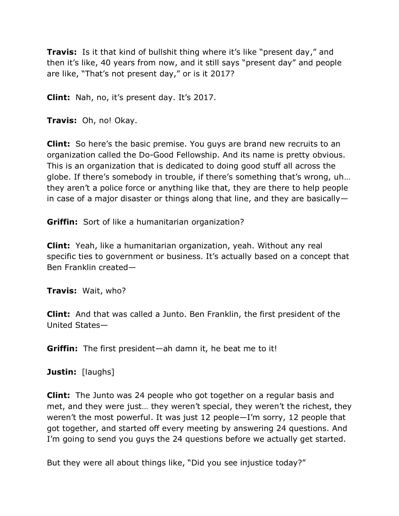**Travis:** Is it that kind of bullshit thing where it's like "present day," and then it's like, 40 years from now, and it still says "present day" and people are like, "That's not present day," or is it 2017?

**Clint:** Nah, no, it's present day. It's 2017.

**Travis:** Oh, no! Okay.

**Clint:** So here's the basic premise. You guys are brand new recruits to an organization called the Do-Good Fellowship. And its name is pretty obvious. This is an organization that is dedicated to doing good stuff all across the globe. If there's somebody in trouble, if there's something that's wrong, uh… they aren't a police force or anything like that, they are there to help people in case of a major disaster or things along that line, and they are basically—

**Griffin:** Sort of like a humanitarian organization?

**Clint:** Yeah, like a humanitarian organization, yeah. Without any real specific ties to government or business. It's actually based on a concept that Ben Franklin created—

**Travis:** Wait, who?

**Clint:** And that was called a Junto. Ben Franklin, the first president of the United States—

**Griffin:** The first president—ah damn it, he beat me to it!

**Justin:** [laughs]

**Clint:** The Junto was 24 people who got together on a regular basis and met, and they were just… they weren't special, they weren't the richest, they weren't the most powerful. It was just 12 people—I'm sorry, 12 people that got together, and started off every meeting by answering 24 questions. And I'm going to send you guys the 24 questions before we actually get started.

But they were all about things like, "Did you see injustice today?"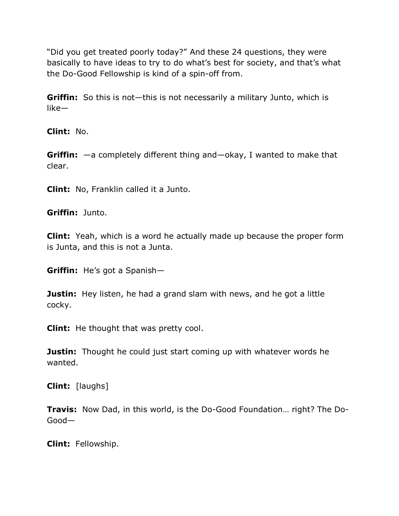"Did you get treated poorly today?" And these 24 questions, they were basically to have ideas to try to do what's best for society, and that's what the Do-Good Fellowship is kind of a spin-off from.

**Griffin:** So this is not—this is not necessarily a military Junto, which is like—

**Clint:** No.

**Griffin:** —a completely different thing and—okay, I wanted to make that clear.

**Clint:** No, Franklin called it a Junto.

**Griffin:** Junto.

**Clint:** Yeah, which is a word he actually made up because the proper form is Junta, and this is not a Junta.

**Griffin:** He's got a Spanish—

**Justin:** Hey listen, he had a grand slam with news, and he got a little cocky.

**Clint:** He thought that was pretty cool.

**Justin:** Thought he could just start coming up with whatever words he wanted.

**Clint:** [laughs]

**Travis:** Now Dad, in this world, is the Do-Good Foundation… right? The Do-Good—

**Clint:** Fellowship.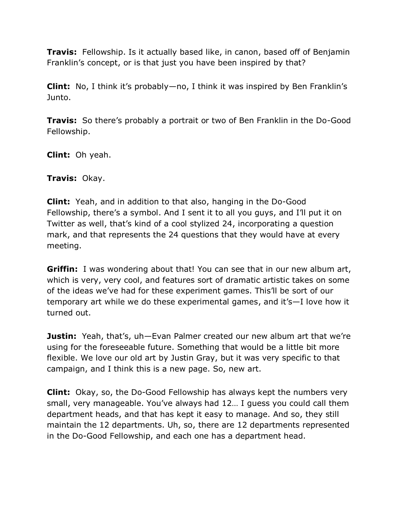**Travis:** Fellowship. Is it actually based like, in canon, based off of Benjamin Franklin's concept, or is that just you have been inspired by that?

**Clint:** No, I think it's probably—no, I think it was inspired by Ben Franklin's Junto.

**Travis:** So there's probably a portrait or two of Ben Franklin in the Do-Good Fellowship.

**Clint:** Oh yeah.

**Travis:** Okay.

**Clint:** Yeah, and in addition to that also, hanging in the Do-Good Fellowship, there's a symbol. And I sent it to all you guys, and I'll put it on Twitter as well, that's kind of a cool stylized 24, incorporating a question mark, and that represents the 24 questions that they would have at every meeting.

**Griffin:** I was wondering about that! You can see that in our new album art, which is very, very cool, and features sort of dramatic artistic takes on some of the ideas we've had for these experiment games. This'll be sort of our temporary art while we do these experimental games, and it's—I love how it turned out.

**Justin:** Yeah, that's, uh—Evan Palmer created our new album art that we're using for the foreseeable future. Something that would be a little bit more flexible. We love our old art by Justin Gray, but it was very specific to that campaign, and I think this is a new page. So, new art.

**Clint:** Okay, so, the Do-Good Fellowship has always kept the numbers very small, very manageable. You've always had 12… I guess you could call them department heads, and that has kept it easy to manage. And so, they still maintain the 12 departments. Uh, so, there are 12 departments represented in the Do-Good Fellowship, and each one has a department head.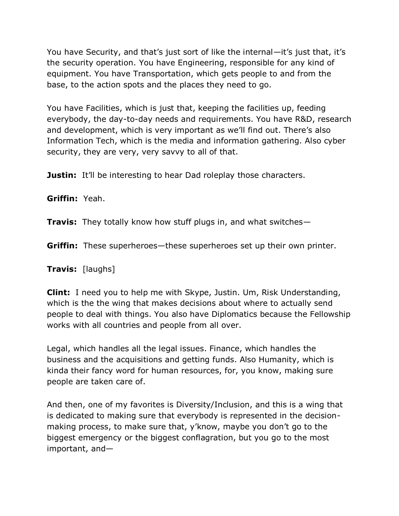You have Security, and that's just sort of like the internal—it's just that, it's the security operation. You have Engineering, responsible for any kind of equipment. You have Transportation, which gets people to and from the base, to the action spots and the places they need to go.

You have Facilities, which is just that, keeping the facilities up, feeding everybody, the day-to-day needs and requirements. You have R&D, research and development, which is very important as we'll find out. There's also Information Tech, which is the media and information gathering. Also cyber security, they are very, very savvy to all of that.

**Justin:** It'll be interesting to hear Dad roleplay those characters.

**Griffin:** Yeah.

**Travis:** They totally know how stuff plugs in, and what switches—

**Griffin:** These superheroes—these superheroes set up their own printer.

**Travis:** [laughs]

**Clint:** I need you to help me with Skype, Justin. Um, Risk Understanding, which is the the wing that makes decisions about where to actually send people to deal with things. You also have Diplomatics because the Fellowship works with all countries and people from all over.

Legal, which handles all the legal issues. Finance, which handles the business and the acquisitions and getting funds. Also Humanity, which is kinda their fancy word for human resources, for, you know, making sure people are taken care of.

And then, one of my favorites is Diversity/Inclusion, and this is a wing that is dedicated to making sure that everybody is represented in the decisionmaking process, to make sure that, y'know, maybe you don't go to the biggest emergency or the biggest conflagration, but you go to the most important, and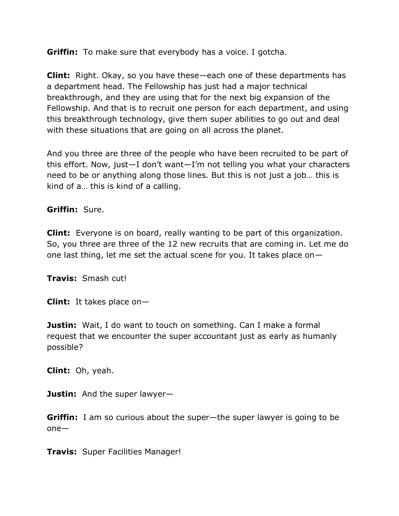**Griffin:** To make sure that everybody has a voice. I gotcha.

**Clint:** Right. Okay, so you have these—each one of these departments has a department head. The Fellowship has just had a major technical breakthrough, and they are using that for the next big expansion of the Fellowship. And that is to recruit one person for each department, and using this breakthrough technology, give them super abilities to go out and deal with these situations that are going on all across the planet.

And you three are three of the people who have been recruited to be part of this effort. Now, just—I don't want—I'm not telling you what your characters need to be or anything along those lines. But this is not just a job… this is kind of a… this is kind of a calling.

**Griffin:** Sure.

**Clint:** Everyone is on board, really wanting to be part of this organization. So, you three are three of the 12 new recruits that are coming in. Let me do one last thing, let me set the actual scene for you. It takes place on—

**Travis:** Smash cut!

**Clint:** It takes place on—

**Justin:** Wait, I do want to touch on something. Can I make a formal request that we encounter the super accountant just as early as humanly possible?

**Clint:** Oh, yeah.

**Justin:** And the super lawyer—

**Griffin:** I am so curious about the super—the super lawyer is going to be one—

**Travis:** Super Facilities Manager!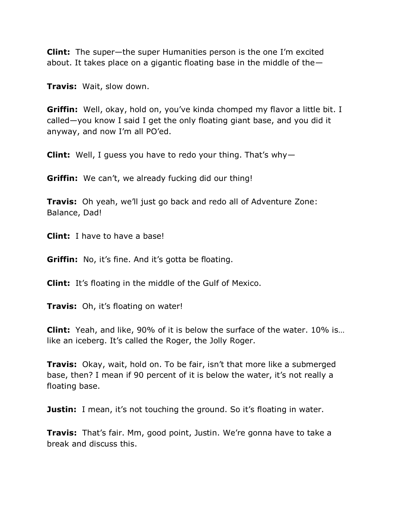**Clint:** The super—the super Humanities person is the one I'm excited about. It takes place on a gigantic floating base in the middle of the—

**Travis:** Wait, slow down.

**Griffin:** Well, okay, hold on, you've kinda chomped my flavor a little bit. I called—you know I said I get the only floating giant base, and you did it anyway, and now I'm all PO'ed.

**Clint:** Well, I guess you have to redo your thing. That's why—

**Griffin:** We can't, we already fucking did our thing!

**Travis:** Oh yeah, we'll just go back and redo all of Adventure Zone: Balance, Dad!

**Clint:** I have to have a base!

**Griffin:** No, it's fine. And it's gotta be floating.

**Clint:** It's floating in the middle of the Gulf of Mexico.

**Travis:** Oh, it's floating on water!

**Clint:** Yeah, and like, 90% of it is below the surface of the water. 10% is… like an iceberg. It's called the Roger, the Jolly Roger.

**Travis:** Okay, wait, hold on. To be fair, isn't that more like a submerged base, then? I mean if 90 percent of it is below the water, it's not really a floating base.

**Justin:** I mean, it's not touching the ground. So it's floating in water.

**Travis:** That's fair. Mm, good point, Justin. We're gonna have to take a break and discuss this.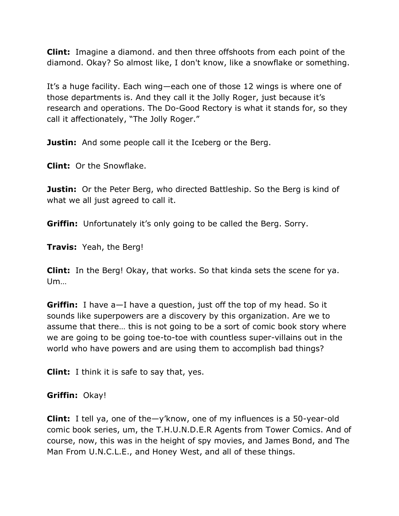**Clint:** Imagine a diamond. and then three offshoots from each point of the diamond. Okay? So almost like, I don't know, like a snowflake or something.

It's a huge facility. Each wing—each one of those 12 wings is where one of those departments is. And they call it the Jolly Roger, just because it's research and operations. The Do-Good Rectory is what it stands for, so they call it affectionately, "The Jolly Roger."

**Justin:** And some people call it the Iceberg or the Berg.

**Clint:** Or the Snowflake.

**Justin:** Or the Peter Berg, who directed Battleship. So the Berg is kind of what we all just agreed to call it.

**Griffin:** Unfortunately it's only going to be called the Berg. Sorry.

**Travis:** Yeah, the Berg!

**Clint:** In the Berg! Okay, that works. So that kinda sets the scene for ya. Um…

**Griffin:** I have a—I have a question, just off the top of my head. So it sounds like superpowers are a discovery by this organization. Are we to assume that there… this is not going to be a sort of comic book story where we are going to be going toe-to-toe with countless super-villains out in the world who have powers and are using them to accomplish bad things?

**Clint:** I think it is safe to say that, yes.

## **Griffin:** Okay!

**Clint:** I tell ya, one of the—y'know, one of my influences is a 50-year-old comic book series, um, the T.H.U.N.D.E.R Agents from Tower Comics. And of course, now, this was in the height of spy movies, and James Bond, and The Man From U.N.C.L.E., and Honey West, and all of these things.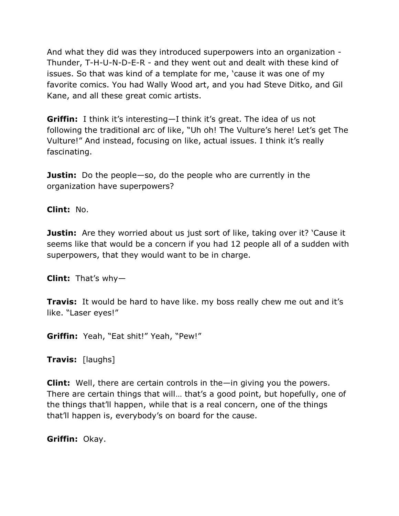And what they did was they introduced superpowers into an organization - Thunder, T-H-U-N-D-E-R - and they went out and dealt with these kind of issues. So that was kind of a template for me, 'cause it was one of my favorite comics. You had Wally Wood art, and you had Steve Ditko, and Gil Kane, and all these great comic artists.

**Griffin:** I think it's interesting—I think it's great. The idea of us not following the traditional arc of like, "Uh oh! The Vulture's here! Let's get The Vulture!" And instead, focusing on like, actual issues. I think it's really fascinating.

**Justin:** Do the people—so, do the people who are currently in the organization have superpowers?

**Clint:** No.

**Justin:** Are they worried about us just sort of like, taking over it? 'Cause it seems like that would be a concern if you had 12 people all of a sudden with superpowers, that they would want to be in charge.

**Clint:** That's why—

**Travis:** It would be hard to have like. my boss really chew me out and it's like. "Laser eyes!"

**Griffin:** Yeah, "Eat shit!" Yeah, "Pew!"

**Travis:** [laughs]

**Clint:** Well, there are certain controls in the—in giving you the powers. There are certain things that will… that's a good point, but hopefully, one of the things that'll happen, while that is a real concern, one of the things that'll happen is, everybody's on board for the cause.

**Griffin:** Okay.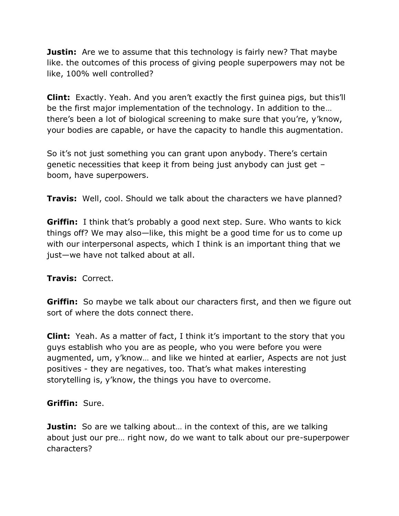**Justin:** Are we to assume that this technology is fairly new? That maybe like. the outcomes of this process of giving people superpowers may not be like, 100% well controlled?

**Clint:** Exactly. Yeah. And you aren't exactly the first guinea pigs, but this'll be the first major implementation of the technology. In addition to the… there's been a lot of biological screening to make sure that you're, y'know, your bodies are capable, or have the capacity to handle this augmentation.

So it's not just something you can grant upon anybody. There's certain genetic necessities that keep it from being just anybody can just get – boom, have superpowers.

**Travis:** Well, cool. Should we talk about the characters we have planned?

**Griffin:** I think that's probably a good next step. Sure. Who wants to kick things off? We may also—like, this might be a good time for us to come up with our interpersonal aspects, which I think is an important thing that we just—we have not talked about at all.

## **Travis:** Correct.

**Griffin:** So maybe we talk about our characters first, and then we figure out sort of where the dots connect there.

**Clint:** Yeah. As a matter of fact, I think it's important to the story that you guys establish who you are as people, who you were before you were augmented, um, y'know… and like we hinted at earlier, Aspects are not just positives - they are negatives, too. That's what makes interesting storytelling is, y'know, the things you have to overcome.

## **Griffin:** Sure.

**Justin:** So are we talking about... in the context of this, are we talking about just our pre… right now, do we want to talk about our pre-superpower characters?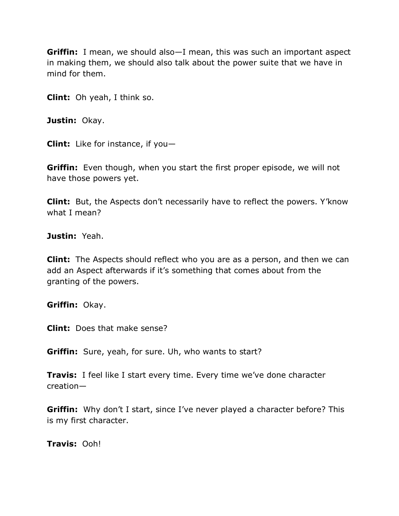**Griffin:** I mean, we should also—I mean, this was such an important aspect in making them, we should also talk about the power suite that we have in mind for them.

**Clint:** Oh yeah, I think so.

**Justin:** Okay.

**Clint:** Like for instance, if you—

**Griffin:** Even though, when you start the first proper episode, we will not have those powers yet.

**Clint:** But, the Aspects don't necessarily have to reflect the powers. Y'know what I mean?

**Justin:** Yeah.

**Clint:** The Aspects should reflect who you are as a person, and then we can add an Aspect afterwards if it's something that comes about from the granting of the powers.

**Griffin:** Okay.

**Clint:** Does that make sense?

**Griffin:** Sure, yeah, for sure. Uh, who wants to start?

**Travis:** I feel like I start every time. Every time we've done character creation—

**Griffin:** Why don't I start, since I've never played a character before? This is my first character.

**Travis:** Ooh!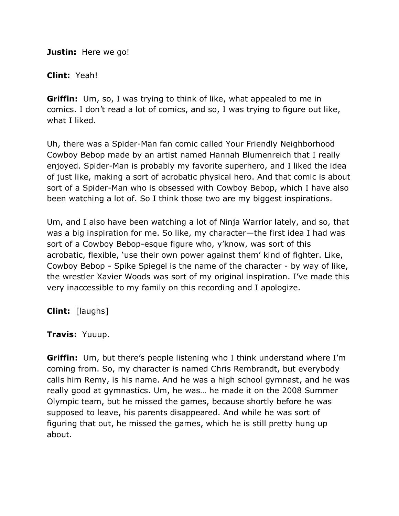**Justin:** Here we go!

#### **Clint:** Yeah!

**Griffin:** Um, so, I was trying to think of like, what appealed to me in comics. I don't read a lot of comics, and so, I was trying to figure out like, what I liked.

Uh, there was a Spider-Man fan comic called Your Friendly Neighborhood Cowboy Bebop made by an artist named Hannah Blumenreich that I really enjoyed. Spider-Man is probably my favorite superhero, and I liked the idea of just like, making a sort of acrobatic physical hero. And that comic is about sort of a Spider-Man who is obsessed with Cowboy Bebop, which I have also been watching a lot of. So I think those two are my biggest inspirations.

Um, and I also have been watching a lot of Ninja Warrior lately, and so, that was a big inspiration for me. So like, my character—the first idea I had was sort of a Cowboy Bebop-esque figure who, y'know, was sort of this acrobatic, flexible, 'use their own power against them' kind of fighter. Like, Cowboy Bebop - Spike Spiegel is the name of the character - by way of like, the wrestler Xavier Woods was sort of my original inspiration. I've made this very inaccessible to my family on this recording and I apologize.

**Clint:** [laughs]

#### **Travis:** Yuuup.

**Griffin:** Um, but there's people listening who I think understand where I'm coming from. So, my character is named Chris Rembrandt, but everybody calls him Remy, is his name. And he was a high school gymnast, and he was really good at gymnastics. Um, he was… he made it on the 2008 Summer Olympic team, but he missed the games, because shortly before he was supposed to leave, his parents disappeared. And while he was sort of figuring that out, he missed the games, which he is still pretty hung up about.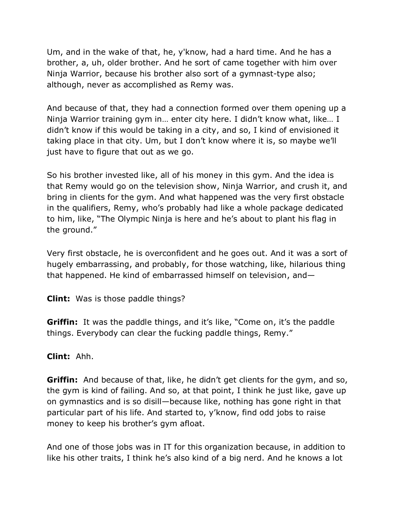Um, and in the wake of that, he, y'know, had a hard time. And he has a brother, a, uh, older brother. And he sort of came together with him over Ninja Warrior, because his brother also sort of a gymnast-type also; although, never as accomplished as Remy was.

And because of that, they had a connection formed over them opening up a Ninja Warrior training gym in… enter city here. I didn't know what, like… I didn't know if this would be taking in a city, and so, I kind of envisioned it taking place in that city. Um, but I don't know where it is, so maybe we'll just have to figure that out as we go.

So his brother invested like, all of his money in this gym. And the idea is that Remy would go on the television show, Ninja Warrior, and crush it, and bring in clients for the gym. And what happened was the very first obstacle in the qualifiers, Remy, who's probably had like a whole package dedicated to him, like, "The Olympic Ninja is here and he's about to plant his flag in the ground."

Very first obstacle, he is overconfident and he goes out. And it was a sort of hugely embarrassing, and probably, for those watching, like, hilarious thing that happened. He kind of embarrassed himself on television, and—

**Clint:** Was is those paddle things?

**Griffin:** It was the paddle things, and it's like, "Come on, it's the paddle things. Everybody can clear the fucking paddle things, Remy."

## **Clint:** Ahh.

**Griffin:** And because of that, like, he didn't get clients for the gym, and so, the gym is kind of failing. And so, at that point, I think he just like, gave up on gymnastics and is so disill—because like, nothing has gone right in that particular part of his life. And started to, y'know, find odd jobs to raise money to keep his brother's gym afloat.

And one of those jobs was in IT for this organization because, in addition to like his other traits, I think he's also kind of a big nerd. And he knows a lot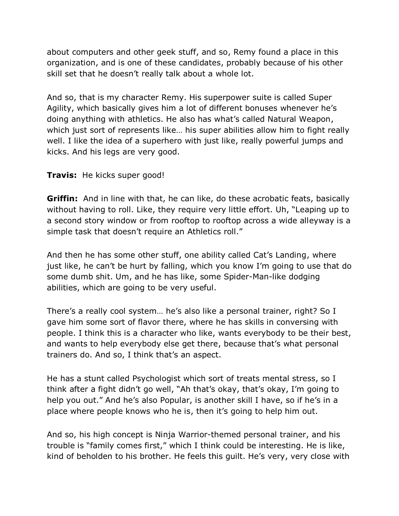about computers and other geek stuff, and so, Remy found a place in this organization, and is one of these candidates, probably because of his other skill set that he doesn't really talk about a whole lot.

And so, that is my character Remy. His superpower suite is called Super Agility, which basically gives him a lot of different bonuses whenever he's doing anything with athletics. He also has what's called Natural Weapon, which just sort of represents like... his super abilities allow him to fight really well. I like the idea of a superhero with just like, really powerful jumps and kicks. And his legs are very good.

## **Travis:** He kicks super good!

**Griffin:** And in line with that, he can like, do these acrobatic feats, basically without having to roll. Like, they require very little effort. Uh, "Leaping up to a second story window or from rooftop to rooftop across a wide alleyway is a simple task that doesn't require an Athletics roll."

And then he has some other stuff, one ability called Cat's Landing, where just like, he can't be hurt by falling, which you know I'm going to use that do some dumb shit. Um, and he has like, some Spider-Man-like dodging abilities, which are going to be very useful.

There's a really cool system… he's also like a personal trainer, right? So I gave him some sort of flavor there, where he has skills in conversing with people. I think this is a character who like, wants everybody to be their best, and wants to help everybody else get there, because that's what personal trainers do. And so, I think that's an aspect.

He has a stunt called Psychologist which sort of treats mental stress, so I think after a fight didn't go well, "Ah that's okay, that's okay, I'm going to help you out." And he's also Popular, is another skill I have, so if he's in a place where people knows who he is, then it's going to help him out.

And so, his high concept is Ninja Warrior-themed personal trainer, and his trouble is "family comes first," which I think could be interesting. He is like, kind of beholden to his brother. He feels this guilt. He's very, very close with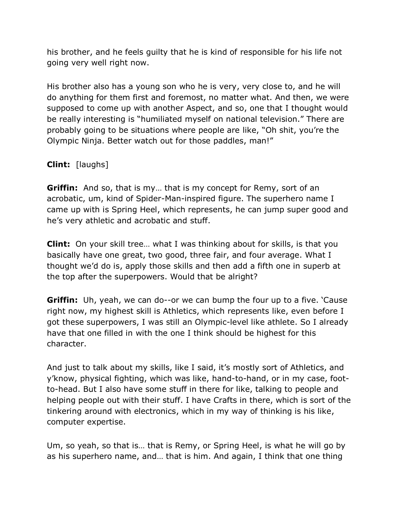his brother, and he feels guilty that he is kind of responsible for his life not going very well right now.

His brother also has a young son who he is very, very close to, and he will do anything for them first and foremost, no matter what. And then, we were supposed to come up with another Aspect, and so, one that I thought would be really interesting is "humiliated myself on national television." There are probably going to be situations where people are like, "Oh shit, you're the Olympic Ninja. Better watch out for those paddles, man!"

# **Clint:** [laughs]

**Griffin:** And so, that is my… that is my concept for Remy, sort of an acrobatic, um, kind of Spider-Man-inspired figure. The superhero name I came up with is Spring Heel, which represents, he can jump super good and he's very athletic and acrobatic and stuff.

**Clint:** On your skill tree… what I was thinking about for skills, is that you basically have one great, two good, three fair, and four average. What I thought we'd do is, apply those skills and then add a fifth one in superb at the top after the superpowers. Would that be alright?

**Griffin:** Uh, yeah, we can do--or we can bump the four up to a five. 'Cause' right now, my highest skill is Athletics, which represents like, even before I got these superpowers, I was still an Olympic-level like athlete. So I already have that one filled in with the one I think should be highest for this character.

And just to talk about my skills, like I said, it's mostly sort of Athletics, and y'know, physical fighting, which was like, hand-to-hand, or in my case, footto-head. But I also have some stuff in there for like, talking to people and helping people out with their stuff. I have Crafts in there, which is sort of the tinkering around with electronics, which in my way of thinking is his like, computer expertise.

Um, so yeah, so that is… that is Remy, or Spring Heel, is what he will go by as his superhero name, and… that is him. And again, I think that one thing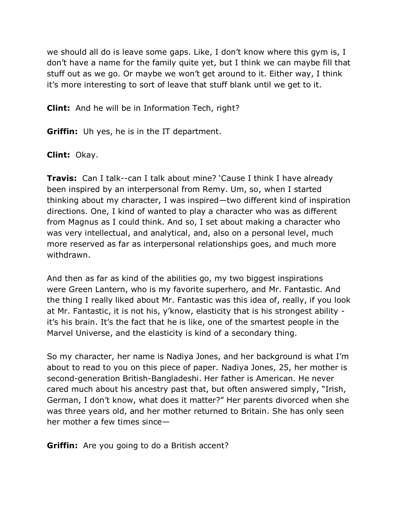we should all do is leave some gaps. Like, I don't know where this gym is, I don't have a name for the family quite yet, but I think we can maybe fill that stuff out as we go. Or maybe we won't get around to it. Either way, I think it's more interesting to sort of leave that stuff blank until we get to it.

**Clint:** And he will be in Information Tech, right?

**Griffin:** Uh yes, he is in the IT department.

**Clint:** Okay.

**Travis:** Can I talk--can I talk about mine? 'Cause I think I have already been inspired by an interpersonal from Remy. Um, so, when I started thinking about my character, I was inspired—two different kind of inspiration directions. One, I kind of wanted to play a character who was as different from Magnus as I could think. And so, I set about making a character who was very intellectual, and analytical, and, also on a personal level, much more reserved as far as interpersonal relationships goes, and much more withdrawn.

And then as far as kind of the abilities go, my two biggest inspirations were Green Lantern, who is my favorite superhero, and Mr. Fantastic. And the thing I really liked about Mr. Fantastic was this idea of, really, if you look at Mr. Fantastic, it is not his, y'know, elasticity that is his strongest ability it's his brain. It's the fact that he is like, one of the smartest people in the Marvel Universe, and the elasticity is kind of a secondary thing.

So my character, her name is Nadiya Jones, and her background is what I'm about to read to you on this piece of paper. Nadiya Jones, 25, her mother is second-generation British-Bangladeshi. Her father is American. He never cared much about his ancestry past that, but often answered simply, "Irish, German, I don't know, what does it matter?" Her parents divorced when she was three years old, and her mother returned to Britain. She has only seen her mother a few times since—

**Griffin:** Are you going to do a British accent?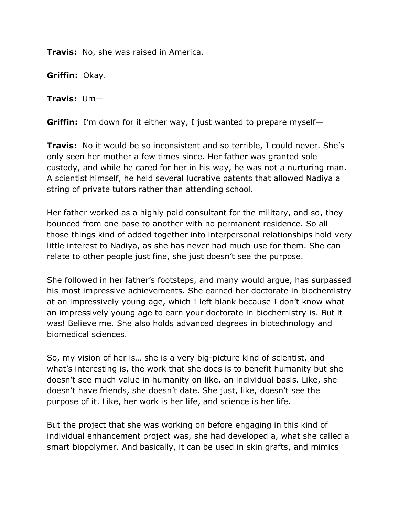**Travis:** No, she was raised in America.

**Griffin:** Okay.

**Travis:** Um—

**Griffin:** I'm down for it either way, I just wanted to prepare myself—

**Travis:** No it would be so inconsistent and so terrible, I could never. She's only seen her mother a few times since. Her father was granted sole custody, and while he cared for her in his way, he was not a nurturing man. A scientist himself, he held several lucrative patents that allowed Nadiya a string of private tutors rather than attending school.

Her father worked as a highly paid consultant for the military, and so, they bounced from one base to another with no permanent residence. So all those things kind of added together into interpersonal relationships hold very little interest to Nadiya, as she has never had much use for them. She can relate to other people just fine, she just doesn't see the purpose.

She followed in her father's footsteps, and many would argue, has surpassed his most impressive achievements. She earned her doctorate in biochemistry at an impressively young age, which I left blank because I don't know what an impressively young age to earn your doctorate in biochemistry is. But it was! Believe me. She also holds advanced degrees in biotechnology and biomedical sciences.

So, my vision of her is… she is a very big-picture kind of scientist, and what's interesting is, the work that she does is to benefit humanity but she doesn't see much value in humanity on like, an individual basis. Like, she doesn't have friends, she doesn't date. She just, like, doesn't see the purpose of it. Like, her work is her life, and science is her life.

But the project that she was working on before engaging in this kind of individual enhancement project was, she had developed a, what she called a smart biopolymer. And basically, it can be used in skin grafts, and mimics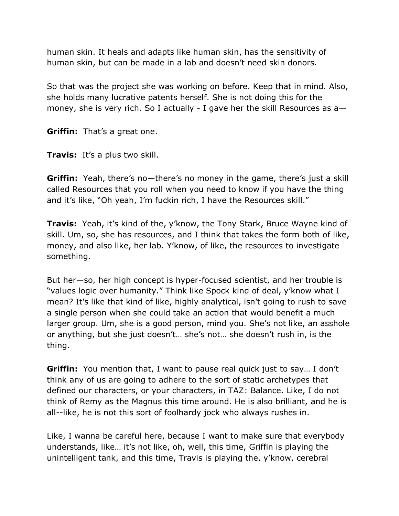human skin. It heals and adapts like human skin, has the sensitivity of human skin, but can be made in a lab and doesn't need skin donors.

So that was the project she was working on before. Keep that in mind. Also, she holds many lucrative patents herself. She is not doing this for the money, she is very rich. So I actually - I gave her the skill Resources as  $a-$ 

**Griffin:** That's a great one.

**Travis:** It's a plus two skill.

**Griffin:** Yeah, there's no—there's no money in the game, there's just a skill called Resources that you roll when you need to know if you have the thing and it's like, "Oh yeah, I'm fuckin rich, I have the Resources skill."

**Travis:** Yeah, it's kind of the, y'know, the Tony Stark, Bruce Wayne kind of skill. Um, so, she has resources, and I think that takes the form both of like, money, and also like, her lab. Y'know, of like, the resources to investigate something.

But her—so, her high concept is hyper-focused scientist, and her trouble is "values logic over humanity." Think like Spock kind of deal, y'know what I mean? It's like that kind of like, highly analytical, isn't going to rush to save a single person when she could take an action that would benefit a much larger group. Um, she is a good person, mind you. She's not like, an asshole or anything, but she just doesn't… she's not… she doesn't rush in, is the thing.

**Griffin:** You mention that, I want to pause real quick just to say… I don't think any of us are going to adhere to the sort of static archetypes that defined our characters, or your characters, in TAZ: Balance. Like, I do not think of Remy as the Magnus this time around. He is also brilliant, and he is all--like, he is not this sort of foolhardy jock who always rushes in.

Like, I wanna be careful here, because I want to make sure that everybody understands, like… it's not like, oh, well, this time, Griffin is playing the unintelligent tank, and this time, Travis is playing the, y'know, cerebral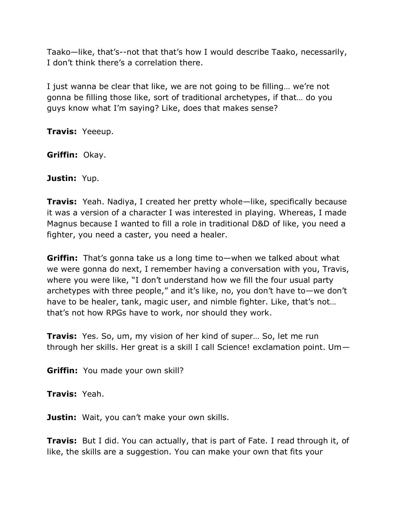Taako—like, that's--not that that's how I would describe Taako, necessarily, I don't think there's a correlation there.

I just wanna be clear that like, we are not going to be filling… we're not gonna be filling those like, sort of traditional archetypes, if that… do you guys know what I'm saying? Like, does that makes sense?

**Travis:** Yeeeup.

**Griffin:** Okay.

**Justin:** Yup.

**Travis:** Yeah. Nadiya, I created her pretty whole—like, specifically because it was a version of a character I was interested in playing. Whereas, I made Magnus because I wanted to fill a role in traditional D&D of like, you need a fighter, you need a caster, you need a healer.

**Griffin:** That's gonna take us a long time to—when we talked about what we were gonna do next, I remember having a conversation with you, Travis, where you were like, "I don't understand how we fill the four usual party archetypes with three people," and it's like, no, you don't have to—we don't have to be healer, tank, magic user, and nimble fighter. Like, that's not... that's not how RPGs have to work, nor should they work.

**Travis:** Yes. So, um, my vision of her kind of super… So, let me run through her skills. Her great is a skill I call Science! exclamation point. Um—

**Griffin:** You made your own skill?

**Travis:** Yeah.

**Justin:** Wait, you can't make your own skills.

**Travis:** But I did. You can actually, that is part of Fate. I read through it, of like, the skills are a suggestion. You can make your own that fits your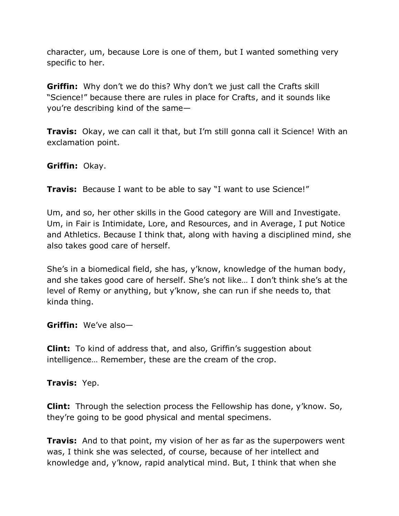character, um, because Lore is one of them, but I wanted something very specific to her.

**Griffin:** Why don't we do this? Why don't we just call the Crafts skill ―Science!‖ because there are rules in place for Crafts, and it sounds like you're describing kind of the same—

**Travis:** Okay, we can call it that, but I'm still gonna call it Science! With an exclamation point.

**Griffin:** Okay.

**Travis:** Because I want to be able to say "I want to use Science!"

Um, and so, her other skills in the Good category are Will and Investigate. Um, in Fair is Intimidate, Lore, and Resources, and in Average, I put Notice and Athletics. Because I think that, along with having a disciplined mind, she also takes good care of herself.

She's in a biomedical field, she has, y'know, knowledge of the human body, and she takes good care of herself. She's not like… I don't think she's at the level of Remy or anything, but y'know, she can run if she needs to, that kinda thing.

**Griffin:** We've also—

**Clint:** To kind of address that, and also, Griffin's suggestion about intelligence… Remember, these are the cream of the crop.

**Travis:** Yep.

**Clint:** Through the selection process the Fellowship has done, y'know. So, they're going to be good physical and mental specimens.

**Travis:** And to that point, my vision of her as far as the superpowers went was, I think she was selected, of course, because of her intellect and knowledge and, y'know, rapid analytical mind. But, I think that when she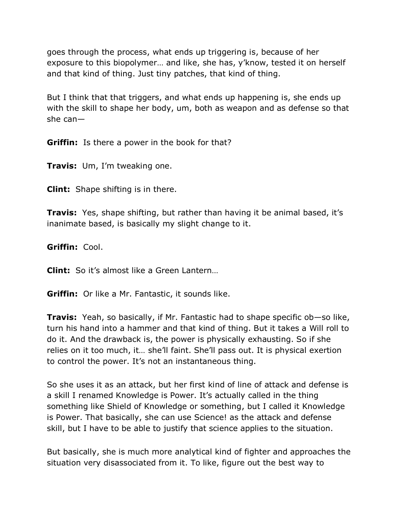goes through the process, what ends up triggering is, because of her exposure to this biopolymer… and like, she has, y'know, tested it on herself and that kind of thing. Just tiny patches, that kind of thing.

But I think that that triggers, and what ends up happening is, she ends up with the skill to shape her body, um, both as weapon and as defense so that she can—

**Griffin:** Is there a power in the book for that?

**Travis:** Um, I'm tweaking one.

**Clint:** Shape shifting is in there.

**Travis:** Yes, shape shifting, but rather than having it be animal based, it's inanimate based, is basically my slight change to it.

**Griffin:** Cool.

**Clint:** So it's almost like a Green Lantern…

**Griffin:** Or like a Mr. Fantastic, it sounds like.

**Travis:** Yeah, so basically, if Mr. Fantastic had to shape specific ob—so like, turn his hand into a hammer and that kind of thing. But it takes a Will roll to do it. And the drawback is, the power is physically exhausting. So if she relies on it too much, it… she'll faint. She'll pass out. It is physical exertion to control the power. It's not an instantaneous thing.

So she uses it as an attack, but her first kind of line of attack and defense is a skill I renamed Knowledge is Power. It's actually called in the thing something like Shield of Knowledge or something, but I called it Knowledge is Power. That basically, she can use Science! as the attack and defense skill, but I have to be able to justify that science applies to the situation.

But basically, she is much more analytical kind of fighter and approaches the situation very disassociated from it. To like, figure out the best way to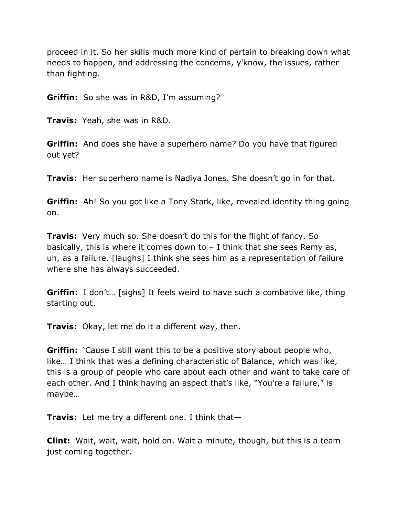proceed in it. So her skills much more kind of pertain to breaking down what needs to happen, and addressing the concerns, y'know, the issues, rather than fighting.

**Griffin:** So she was in R&D, I'm assuming?

**Travis:** Yeah, she was in R&D.

**Griffin:** And does she have a superhero name? Do you have that figured out yet?

**Travis:** Her superhero name is Nadiya Jones. She doesn't go in for that.

**Griffin:** Ah! So you got like a Tony Stark, like, revealed identity thing going on.

**Travis:** Very much so. She doesn't do this for the flight of fancy. So basically, this is where it comes down to – I think that she sees Remy as, uh, as a failure. [laughs] I think she sees him as a representation of failure where she has always succeeded.

**Griffin:** I don't... [sighs] It feels weird to have such a combative like, thing starting out.

**Travis:** Okay, let me do it a different way, then.

**Griffin:** *Cause I still want this to be a positive story about people who,* like… I think that was a defining characteristic of Balance, which was like, this is a group of people who care about each other and want to take care of each other. And I think having an aspect that's like, "You're a failure," is maybe…

**Travis:** Let me try a different one. I think that—

**Clint:** Wait, wait, wait, hold on. Wait a minute, though, but this is a team just coming together.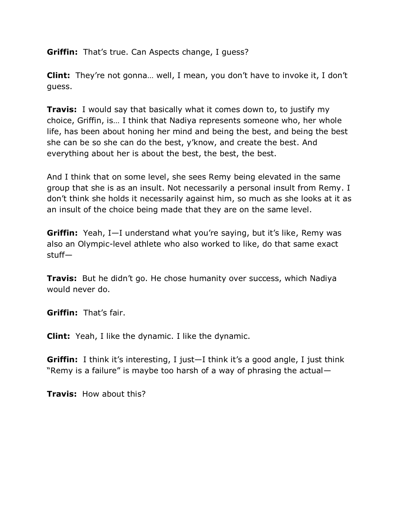**Griffin:** That's true. Can Aspects change, I guess?

**Clint:** They're not gonna… well, I mean, you don't have to invoke it, I don't guess.

**Travis:** I would say that basically what it comes down to, to justify my choice, Griffin, is… I think that Nadiya represents someone who, her whole life, has been about honing her mind and being the best, and being the best she can be so she can do the best, y'know, and create the best. And everything about her is about the best, the best, the best.

And I think that on some level, she sees Remy being elevated in the same group that she is as an insult. Not necessarily a personal insult from Remy. I don't think she holds it necessarily against him, so much as she looks at it as an insult of the choice being made that they are on the same level.

**Griffin:** Yeah, I—I understand what you're saying, but it's like, Remy was also an Olympic-level athlete who also worked to like, do that same exact stuff—

**Travis:** But he didn't go. He chose humanity over success, which Nadiya would never do.

**Griffin:** That's fair.

**Clint:** Yeah, I like the dynamic. I like the dynamic.

**Griffin:** I think it's interesting, I just—I think it's a good angle, I just think "Remy is a failure" is maybe too harsh of a way of phrasing the actual $-$ 

**Travis:** How about this?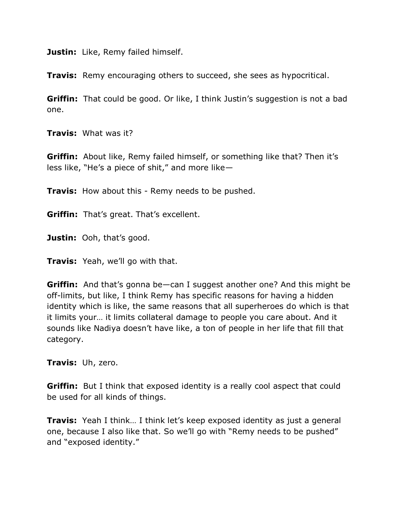**Justin:** Like, Remy failed himself.

**Travis:** Remy encouraging others to succeed, she sees as hypocritical.

**Griffin:** That could be good. Or like, I think Justin's suggestion is not a bad one.

**Travis:** What was it?

**Griffin:** About like, Remy failed himself, or something like that? Then it's less like, "He's a piece of shit," and more like—

**Travis:** How about this - Remy needs to be pushed.

**Griffin:** That's great. That's excellent.

**Justin:** Ooh, that's good.

**Travis:** Yeah, we'll go with that.

**Griffin:** And that's gonna be—can I suggest another one? And this might be off-limits, but like, I think Remy has specific reasons for having a hidden identity which is like, the same reasons that all superheroes do which is that it limits your… it limits collateral damage to people you care about. And it sounds like Nadiya doesn't have like, a ton of people in her life that fill that category.

**Travis:** Uh, zero.

**Griffin:** But I think that exposed identity is a really cool aspect that could be used for all kinds of things.

**Travis:** Yeah I think… I think let's keep exposed identity as just a general one, because I also like that. So we'll go with "Remy needs to be pushed" and "exposed identity."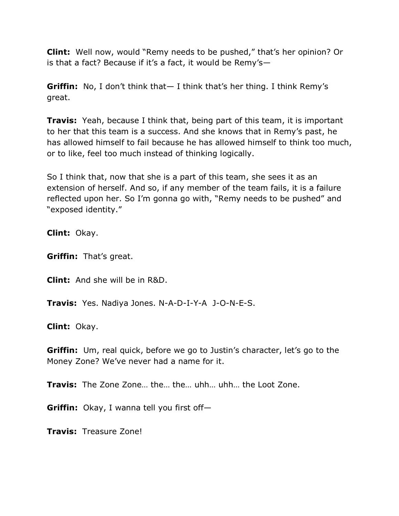**Clint:** Well now, would "Remy needs to be pushed," that's her opinion? Or is that a fact? Because if it's a fact, it would be Remy's—

**Griffin:** No, I don't think that— I think that's her thing. I think Remy's great.

**Travis:** Yeah, because I think that, being part of this team, it is important to her that this team is a success. And she knows that in Remy's past, he has allowed himself to fail because he has allowed himself to think too much, or to like, feel too much instead of thinking logically.

So I think that, now that she is a part of this team, she sees it as an extension of herself. And so, if any member of the team fails, it is a failure reflected upon her. So I'm gonna go with, "Remy needs to be pushed" and "exposed identity."

**Clint:** Okay.

**Griffin:** That's great.

**Clint:** And she will be in R&D.

**Travis:** Yes. Nadiya Jones. N-A-D-I-Y-A J-O-N-E-S.

**Clint:** Okay.

**Griffin:** Um, real quick, before we go to Justin's character, let's go to the Money Zone? We've never had a name for it.

**Travis:** The Zone Zone… the… the… uhh… uhh… the Loot Zone.

**Griffin:** Okay, I wanna tell you first off—

**Travis:** Treasure Zone!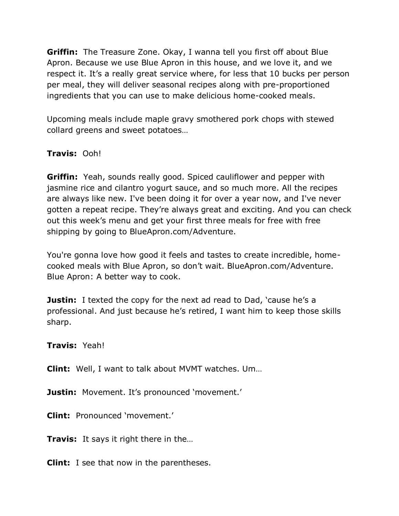**Griffin:** The Treasure Zone. Okay, I wanna tell you first off about Blue Apron. Because we use Blue Apron in this house, and we love it, and we respect it. It's a really great service where, for less that 10 bucks per person per meal, they will deliver seasonal recipes along with pre-proportioned ingredients that you can use to make delicious home-cooked meals.

Upcoming meals include maple gravy smothered pork chops with stewed collard greens and sweet potatoes…

## **Travis:** Ooh!

**Griffin:** Yeah, sounds really good. Spiced cauliflower and pepper with jasmine rice and cilantro yogurt sauce, and so much more. All the recipes are always like new. I've been doing it for over a year now, and I've never gotten a repeat recipe. They're always great and exciting. And you can check out this week's menu and get your first three meals for free with free shipping by going to BlueApron.com/Adventure.

You're gonna love how good it feels and tastes to create incredible, homecooked meals with Blue Apron, so don't wait. BlueApron.com/Adventure. Blue Apron: A better way to cook.

**Justin:** I texted the copy for the next ad read to Dad, 'cause he's a professional. And just because he's retired, I want him to keep those skills sharp.

**Travis:** Yeah!

**Clint:** Well, I want to talk about MVMT watches. Um…

**Justin:** Movement. It's pronounced 'movement.'

**Clint:** Pronounced 'movement.'

**Travis:** It says it right there in the…

**Clint:** I see that now in the parentheses.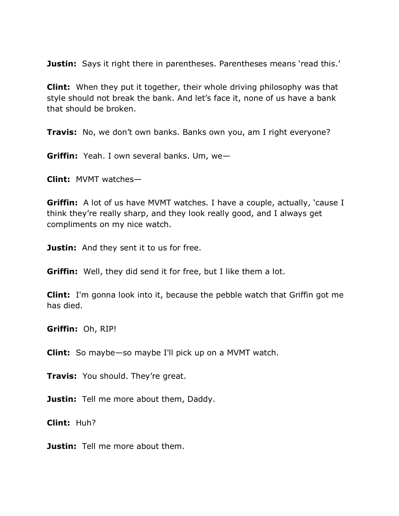**Justin:** Says it right there in parentheses. Parentheses means 'read this.'

**Clint:** When they put it together, their whole driving philosophy was that style should not break the bank. And let's face it, none of us have a bank that should be broken.

**Travis:** No, we don't own banks. Banks own you, am I right everyone?

**Griffin:** Yeah. I own several banks. Um, we—

**Clint:** MVMT watches—

**Griffin:** A lot of us have MVMT watches. I have a couple, actually, 'cause I think they're really sharp, and they look really good, and I always get compliments on my nice watch.

**Justin:** And they sent it to us for free.

**Griffin:** Well, they did send it for free, but I like them a lot.

**Clint:** I'm gonna look into it, because the pebble watch that Griffin got me has died.

**Griffin:** Oh, RIP!

**Clint:** So maybe—so maybe I'll pick up on a MVMT watch.

**Travis:** You should. They're great.

**Justin:** Tell me more about them, Daddy.

**Clint:** Huh?

**Justin:** Tell me more about them.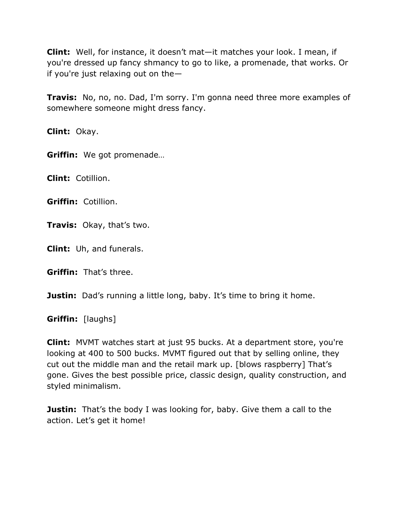**Clint:** Well, for instance, it doesn't mat—it matches your look. I mean, if you're dressed up fancy shmancy to go to like, a promenade, that works. Or if you're just relaxing out on the—

**Travis:** No, no, no. Dad, I'm sorry. I'm gonna need three more examples of somewhere someone might dress fancy.

**Clint:** Okay.

**Griffin:** We got promenade…

**Clint:** Cotillion.

**Griffin:** Cotillion.

**Travis:** Okay, that's two.

**Clint:** Uh, and funerals.

**Griffin:** That's three.

**Justin:** Dad's running a little long, baby. It's time to bring it home.

**Griffin:** [laughs]

**Clint:** MVMT watches start at just 95 bucks. At a department store, you're looking at 400 to 500 bucks. MVMT figured out that by selling online, they cut out the middle man and the retail mark up. [blows raspberry] That's gone. Gives the best possible price, classic design, quality construction, and styled minimalism.

**Justin:** That's the body I was looking for, baby. Give them a call to the action. Let's get it home!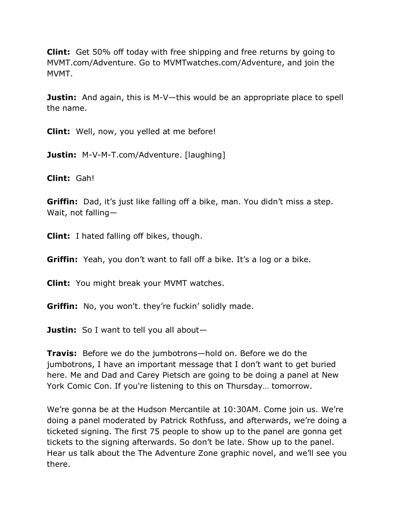**Clint:** Get 50% off today with free shipping and free returns by going to MVMT.com/Adventure. Go to MVMTwatches.com/Adventure, and join the MVMT.

**Justin:** And again, this is M-V—this would be an appropriate place to spell the name.

**Clint:** Well, now, you yelled at me before!

**Justin:** M-V-M-T.com/Adventure. [laughing]

**Clint:** Gah!

**Griffin:** Dad, it's just like falling off a bike, man. You didn't miss a step. Wait, not falling—

**Clint:** I hated falling off bikes, though.

**Griffin:** Yeah, you don't want to fall off a bike. It's a log or a bike.

**Clint:** You might break your MVMT watches.

**Griffin:** No, you won't. they're fuckin' solidly made.

**Justin:** So I want to tell you all about—

**Travis:** Before we do the jumbotrons—hold on. Before we do the jumbotrons, I have an important message that I don't want to get buried here. Me and Dad and Carey Pietsch are going to be doing a panel at New York Comic Con. If you're listening to this on Thursday… tomorrow.

We're gonna be at the Hudson Mercantile at 10:30AM. Come join us. We're doing a panel moderated by Patrick Rothfuss, and afterwards, we're doing a ticketed signing. The first 75 people to show up to the panel are gonna get tickets to the signing afterwards. So don't be late. Show up to the panel. Hear us talk about the The Adventure Zone graphic novel, and we'll see you there.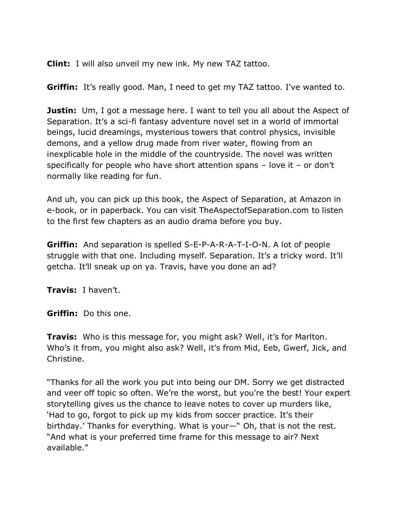**Clint:** I will also unveil my new ink. My new TAZ tattoo.

**Griffin:** It's really good. Man, I need to get my TAZ tattoo. I've wanted to.

**Justin:** Um, I got a message here. I want to tell you all about the Aspect of Separation. It's a sci-fi fantasy adventure novel set in a world of immortal beings, lucid dreamings, mysterious towers that control physics, invisible demons, and a yellow drug made from river water, flowing from an inexplicable hole in the middle of the countryside. The novel was written specifically for people who have short attention spans – love it – or don't normally like reading for fun.

And uh, you can pick up this book, the Aspect of Separation, at Amazon in e-book, or in paperback. You can visit TheAspectofSeparation.com to listen to the first few chapters as an audio drama before you buy.

**Griffin:** And separation is spelled S-E-P-A-R-A-T-I-O-N. A lot of people struggle with that one. Including myself. Separation. It's a tricky word. It'll getcha. It'll sneak up on ya. Travis, have you done an ad?

**Travis:** I haven't.

**Griffin:** Do this one.

**Travis:** Who is this message for, you might ask? Well, it's for Marlton. Who's it from, you might also ask? Well, it's from Mid, Eeb, Gwerf, Jick, and Christine.

"Thanks for all the work you put into being our DM. Sorry we get distracted and veer off topic so often. We're the worst, but you're the best! Your expert storytelling gives us the chance to leave notes to cover up murders like, ‗Had to go, forgot to pick up my kids from soccer practice. It's their birthday.' Thanks for everything. What is your—" Oh, that is not the rest. "And what is your preferred time frame for this message to air? Next available.‖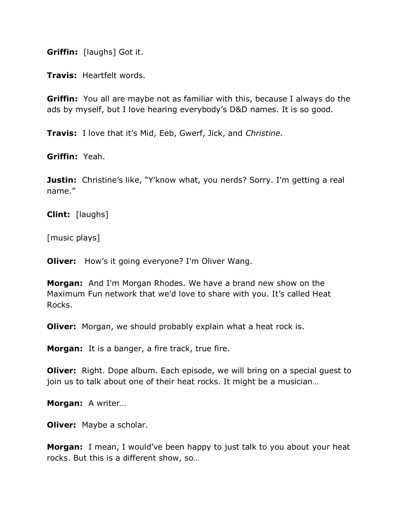**Griffin:** [laughs] Got it.

**Travis:** Heartfelt words.

**Griffin:** You all are maybe not as familiar with this, because I always do the ads by myself, but I love hearing everybody's D&D names. It is so good.

**Travis:** I love that it's Mid, Eeb, Gwerf, Jick, and *Christine.*

**Griffin:** Yeah.

**Justin:** Christine's like, "Y'know what, you nerds? Sorry. I'm getting a real name."

**Clint:** [laughs]

[music plays]

**Oliver:** How's it going everyone? I'm Oliver Wang.

**Morgan:** And I'm Morgan Rhodes. We have a brand new show on the Maximum Fun network that we'd love to share with you. It's called Heat Rocks.

**Oliver:** Morgan, we should probably explain what a heat rock is.

**Morgan:** It is a banger, a fire track, true fire.

**Oliver:** Right. Dope album. Each episode, we will bring on a special quest to join us to talk about one of their heat rocks. It might be a musician…

**Morgan:** A writer…

**Oliver:** Maybe a scholar.

**Morgan:** I mean, I would've been happy to just talk to you about your heat rocks. But this is a different show, so…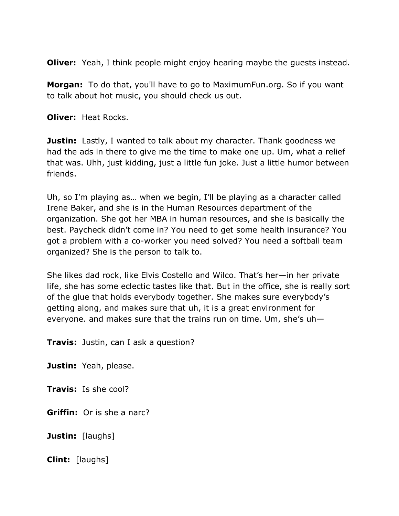**Oliver:** Yeah, I think people might enjoy hearing maybe the quests instead.

**Morgan:** To do that, you'll have to go to MaximumFun.org. So if you want to talk about hot music, you should check us out.

**Oliver:** Heat Rocks.

**Justin:** Lastly, I wanted to talk about my character. Thank goodness we had the ads in there to give me the time to make one up. Um, what a relief that was. Uhh, just kidding, just a little fun joke. Just a little humor between friends.

Uh, so I'm playing as… when we begin, I'll be playing as a character called Irene Baker, and she is in the Human Resources department of the organization. She got her MBA in human resources, and she is basically the best. Paycheck didn't come in? You need to get some health insurance? You got a problem with a co-worker you need solved? You need a softball team organized? She is the person to talk to.

She likes dad rock, like Elvis Costello and Wilco. That's her—in her private life, she has some eclectic tastes like that. But in the office, she is really sort of the glue that holds everybody together. She makes sure everybody's getting along, and makes sure that uh, it is a great environment for everyone. and makes sure that the trains run on time. Um, she's uh—

**Travis:** Justin, can I ask a question?

**Justin:** Yeah, please.

**Travis:** Is she cool?

**Griffin:** Or is she a narc?

**Justin:** [laughs]

**Clint:** [laughs]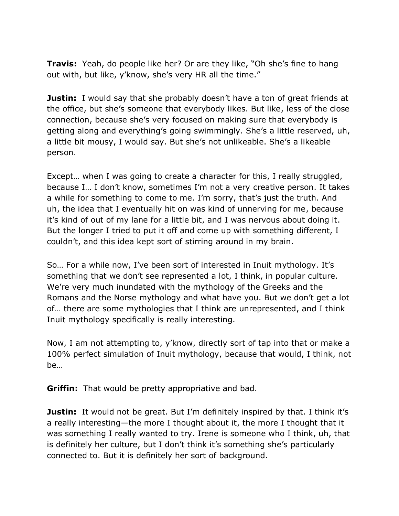**Travis:** Yeah, do people like her? Or are they like, "Oh she's fine to hang out with, but like, y'know, she's very HR all the time."

**Justin:** I would say that she probably doesn't have a ton of great friends at the office, but she's someone that everybody likes. But like, less of the close connection, because she's very focused on making sure that everybody is getting along and everything's going swimmingly. She's a little reserved, uh, a little bit mousy, I would say. But she's not unlikeable. She's a likeable person.

Except… when I was going to create a character for this, I really struggled, because I… I don't know, sometimes I'm not a very creative person. It takes a while for something to come to me. I'm sorry, that's just the truth. And uh, the idea that I eventually hit on was kind of unnerving for me, because it's kind of out of my lane for a little bit, and I was nervous about doing it. But the longer I tried to put it off and come up with something different, I couldn't, and this idea kept sort of stirring around in my brain.

So… For a while now, I've been sort of interested in Inuit mythology. It's something that we don't see represented a lot, I think, in popular culture. We're very much inundated with the mythology of the Greeks and the Romans and the Norse mythology and what have you. But we don't get a lot of… there are some mythologies that I think are unrepresented, and I think Inuit mythology specifically is really interesting.

Now, I am not attempting to, y'know, directly sort of tap into that or make a 100% perfect simulation of Inuit mythology, because that would, I think, not be…

**Griffin:** That would be pretty appropriative and bad.

**Justin:** It would not be great. But I'm definitely inspired by that. I think it's a really interesting—the more I thought about it, the more I thought that it was something I really wanted to try. Irene is someone who I think, uh, that is definitely her culture, but I don't think it's something she's particularly connected to. But it is definitely her sort of background.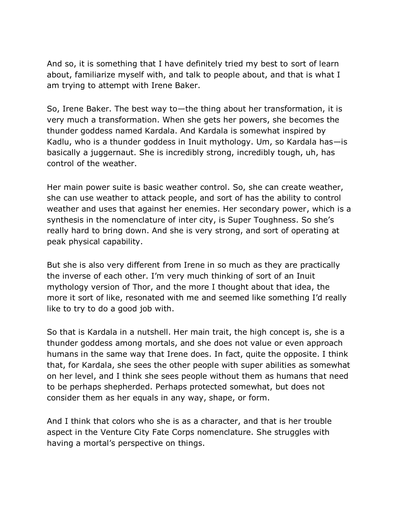And so, it is something that I have definitely tried my best to sort of learn about, familiarize myself with, and talk to people about, and that is what I am trying to attempt with Irene Baker.

So, Irene Baker. The best way to—the thing about her transformation, it is very much a transformation. When she gets her powers, she becomes the thunder goddess named Kardala. And Kardala is somewhat inspired by Kadlu, who is a thunder goddess in Inuit mythology. Um, so Kardala has—is basically a juggernaut. She is incredibly strong, incredibly tough, uh, has control of the weather.

Her main power suite is basic weather control. So, she can create weather, she can use weather to attack people, and sort of has the ability to control weather and uses that against her enemies. Her secondary power, which is a synthesis in the nomenclature of inter city, is Super Toughness. So she's really hard to bring down. And she is very strong, and sort of operating at peak physical capability.

But she is also very different from Irene in so much as they are practically the inverse of each other. I'm very much thinking of sort of an Inuit mythology version of Thor, and the more I thought about that idea, the more it sort of like, resonated with me and seemed like something I'd really like to try to do a good job with.

So that is Kardala in a nutshell. Her main trait, the high concept is, she is a thunder goddess among mortals, and she does not value or even approach humans in the same way that Irene does. In fact, quite the opposite. I think that, for Kardala, she sees the other people with super abilities as somewhat on her level, and I think she sees people without them as humans that need to be perhaps shepherded. Perhaps protected somewhat, but does not consider them as her equals in any way, shape, or form.

And I think that colors who she is as a character, and that is her trouble aspect in the Venture City Fate Corps nomenclature. She struggles with having a mortal's perspective on things.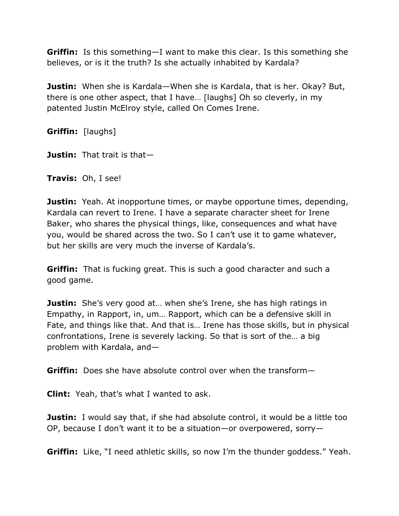**Griffin:** Is this something—I want to make this clear. Is this something she believes, or is it the truth? Is she actually inhabited by Kardala?

**Justin:** When she is Kardala—When she is Kardala, that is her. Okay? But, there is one other aspect, that I have… [laughs] Oh so cleverly, in my patented Justin McElroy style, called On Comes Irene.

**Griffin:** [laughs]

**Justin:** That trait is that—

**Travis:** Oh, I see!

**Justin:** Yeah. At inopportune times, or maybe opportune times, depending, Kardala can revert to Irene. I have a separate character sheet for Irene Baker, who shares the physical things, like, consequences and what have you, would be shared across the two. So I can't use it to game whatever, but her skills are very much the inverse of Kardala's.

**Griffin:** That is fucking great. This is such a good character and such a good game.

**Justin:** She's very good at... when she's Irene, she has high ratings in Empathy, in Rapport, in, um… Rapport, which can be a defensive skill in Fate, and things like that. And that is… Irene has those skills, but in physical confrontations, Irene is severely lacking. So that is sort of the… a big problem with Kardala, and—

**Griffin:** Does she have absolute control over when the transform—

**Clint:** Yeah, that's what I wanted to ask.

**Justin:** I would say that, if she had absolute control, it would be a little too OP, because I don't want it to be a situation—or overpowered, sorry—

**Griffin:** Like, "I need athletic skills, so now I'm the thunder goddess." Yeah.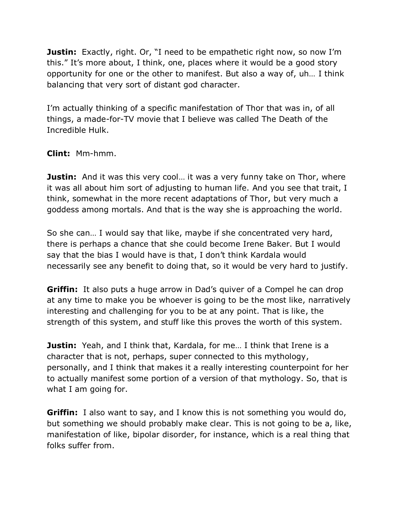**Justin:** Exactly, right. Or, "I need to be empathetic right now, so now I'm this." It's more about, I think, one, places where it would be a good story opportunity for one or the other to manifest. But also a way of, uh… I think balancing that very sort of distant god character.

I'm actually thinking of a specific manifestation of Thor that was in, of all things, a made-for-TV movie that I believe was called The Death of the Incredible Hulk.

## **Clint:** Mm-hmm.

**Justin:** And it was this very cool... it was a very funny take on Thor, where it was all about him sort of adjusting to human life. And you see that trait, I think, somewhat in the more recent adaptations of Thor, but very much a goddess among mortals. And that is the way she is approaching the world.

So she can… I would say that like, maybe if she concentrated very hard, there is perhaps a chance that she could become Irene Baker. But I would say that the bias I would have is that, I don't think Kardala would necessarily see any benefit to doing that, so it would be very hard to justify.

**Griffin:** It also puts a huge arrow in Dad's quiver of a Compel he can drop at any time to make you be whoever is going to be the most like, narratively interesting and challenging for you to be at any point. That is like, the strength of this system, and stuff like this proves the worth of this system.

**Justin:** Yeah, and I think that, Kardala, for me... I think that Irene is a character that is not, perhaps, super connected to this mythology, personally, and I think that makes it a really interesting counterpoint for her to actually manifest some portion of a version of that mythology. So, that is what I am going for.

**Griffin:** I also want to say, and I know this is not something you would do, but something we should probably make clear. This is not going to be a, like, manifestation of like, bipolar disorder, for instance, which is a real thing that folks suffer from.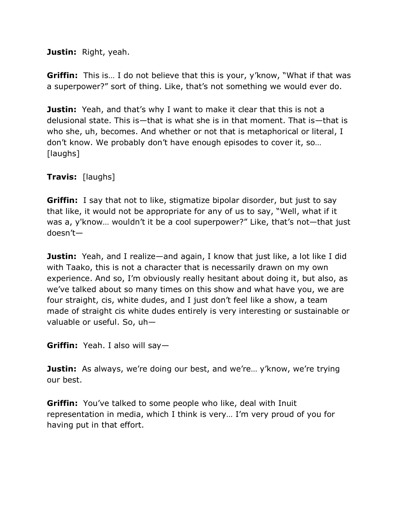**Justin:** Right, yeah.

**Griffin:** This is... I do not believe that this is your, y'know, "What if that was a superpower?" sort of thing. Like, that's not something we would ever do.

**Justin:** Yeah, and that's why I want to make it clear that this is not a delusional state. This is—that is what she is in that moment. That is—that is who she, uh, becomes. And whether or not that is metaphorical or literal, I don't know. We probably don't have enough episodes to cover it, so… [laughs]

**Travis:** [laughs]

**Griffin:** I say that not to like, stigmatize bipolar disorder, but just to say that like, it would not be appropriate for any of us to say, "Well, what if it was a, y'know... wouldn't it be a cool superpower?" Like, that's not—that just doesn't—

**Justin:** Yeah, and I realize—and again, I know that just like, a lot like I did with Taako, this is not a character that is necessarily drawn on my own experience. And so, I'm obviously really hesitant about doing it, but also, as we've talked about so many times on this show and what have you, we are four straight, cis, white dudes, and I just don't feel like a show, a team made of straight cis white dudes entirely is very interesting or sustainable or valuable or useful. So, uh—

**Griffin:** Yeah. I also will say—

**Justin:** As always, we're doing our best, and we're... y'know, we're trying our best.

**Griffin:** You've talked to some people who like, deal with Inuit representation in media, which I think is very… I'm very proud of you for having put in that effort.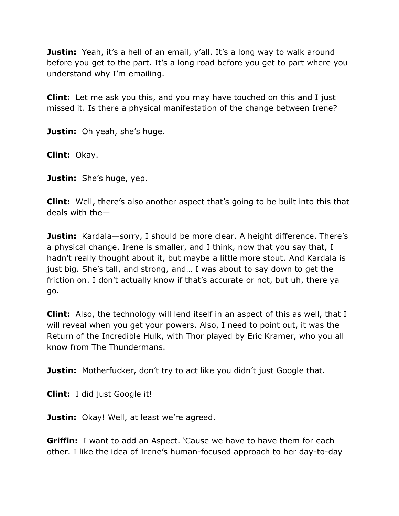**Justin:** Yeah, it's a hell of an email, y'all. It's a long way to walk around before you get to the part. It's a long road before you get to part where you understand why I'm emailing.

**Clint:** Let me ask you this, and you may have touched on this and I just missed it. Is there a physical manifestation of the change between Irene?

**Justin:** Oh yeah, she's huge.

**Clint:** Okay.

**Justin:** She's huge, yep.

**Clint:** Well, there's also another aspect that's going to be built into this that deals with the—

**Justin:** Kardala—sorry, I should be more clear. A height difference. There's a physical change. Irene is smaller, and I think, now that you say that, I hadn't really thought about it, but maybe a little more stout. And Kardala is just big. She's tall, and strong, and… I was about to say down to get the friction on. I don't actually know if that's accurate or not, but uh, there ya go.

**Clint:** Also, the technology will lend itself in an aspect of this as well, that I will reveal when you get your powers. Also, I need to point out, it was the Return of the Incredible Hulk, with Thor played by Eric Kramer, who you all know from The Thundermans.

**Justin:** Motherfucker, don't try to act like you didn't just Google that.

**Clint:** I did just Google it!

**Justin:** Okay! Well, at least we're agreed.

**Griffin:** I want to add an Aspect. 'Cause we have to have them for each other. I like the idea of Irene's human-focused approach to her day-to-day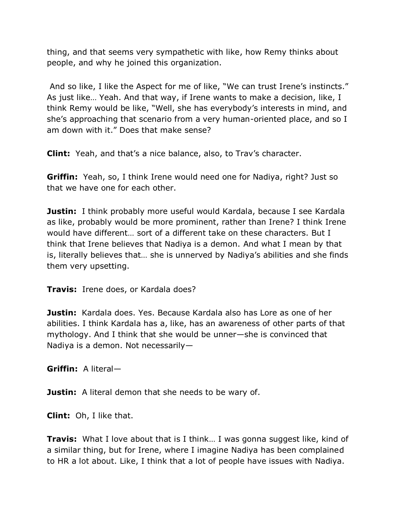thing, and that seems very sympathetic with like, how Remy thinks about people, and why he joined this organization.

And so like, I like the Aspect for me of like, "We can trust Irene's instincts." As just like… Yeah. And that way, if Irene wants to make a decision, like, I think Remy would be like, "Well, she has everybody's interests in mind, and she's approaching that scenario from a very human-oriented place, and so I am down with it." Does that make sense?

**Clint:** Yeah, and that's a nice balance, also, to Trav's character.

**Griffin:** Yeah, so, I think Irene would need one for Nadiya, right? Just so that we have one for each other.

**Justin:** I think probably more useful would Kardala, because I see Kardala as like, probably would be more prominent, rather than Irene? I think Irene would have different… sort of a different take on these characters. But I think that Irene believes that Nadiya is a demon. And what I mean by that is, literally believes that… she is unnerved by Nadiya's abilities and she finds them very upsetting.

**Travis:** Irene does, or Kardala does?

**Justin:** Kardala does. Yes. Because Kardala also has Lore as one of her abilities. I think Kardala has a, like, has an awareness of other parts of that mythology. And I think that she would be unner—she is convinced that Nadiya is a demon. Not necessarily—

**Griffin:** A literal—

**Justin:** A literal demon that she needs to be wary of.

**Clint:** Oh, I like that.

**Travis:** What I love about that is I think... I was gonna suggest like, kind of a similar thing, but for Irene, where I imagine Nadiya has been complained to HR a lot about. Like, I think that a lot of people have issues with Nadiya.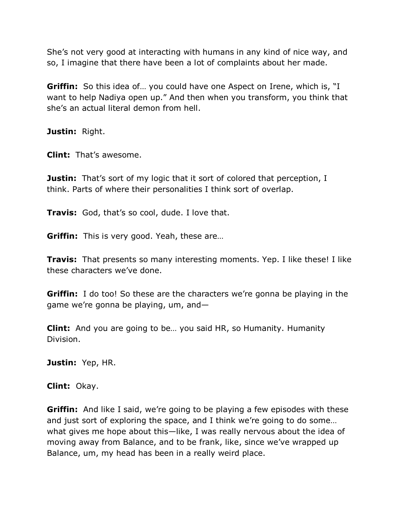She's not very good at interacting with humans in any kind of nice way, and so, I imagine that there have been a lot of complaints about her made.

**Griffin:** So this idea of... you could have one Aspect on Irene, which is, "I want to help Nadiya open up." And then when you transform, you think that she's an actual literal demon from hell.

**Justin:** Right.

**Clint:** That's awesome.

**Justin:** That's sort of my logic that it sort of colored that perception, I think. Parts of where their personalities I think sort of overlap.

**Travis:** God, that's so cool, dude. I love that.

**Griffin:** This is very good. Yeah, these are…

**Travis:** That presents so many interesting moments. Yep. I like these! I like these characters we've done.

**Griffin:** I do too! So these are the characters we're gonna be playing in the game we're gonna be playing, um, and—

**Clint:** And you are going to be… you said HR, so Humanity. Humanity Division.

**Justin:** Yep, HR.

**Clint:** Okay.

**Griffin:** And like I said, we're going to be playing a few episodes with these and just sort of exploring the space, and I think we're going to do some… what gives me hope about this—like, I was really nervous about the idea of moving away from Balance, and to be frank, like, since we've wrapped up Balance, um, my head has been in a really weird place.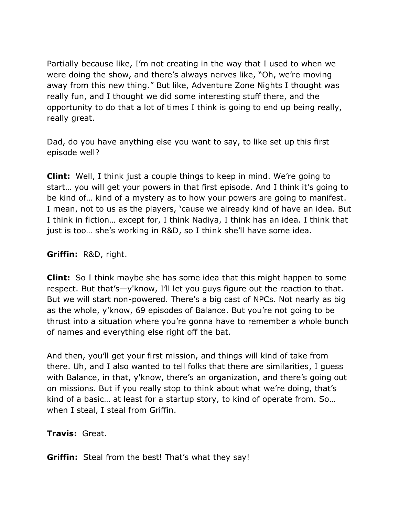Partially because like, I'm not creating in the way that I used to when we were doing the show, and there's always nerves like, "Oh, we're moving away from this new thing." But like, Adventure Zone Nights I thought was really fun, and I thought we did some interesting stuff there, and the opportunity to do that a lot of times I think is going to end up being really, really great.

Dad, do you have anything else you want to say, to like set up this first episode well?

**Clint:** Well, I think just a couple things to keep in mind. We're going to start… you will get your powers in that first episode. And I think it's going to be kind of… kind of a mystery as to how your powers are going to manifest. I mean, not to us as the players, 'cause we already kind of have an idea. But I think in fiction… except for, I think Nadiya, I think has an idea. I think that just is too… she's working in R&D, so I think she'll have some idea.

#### **Griffin:** R&D, right.

**Clint:** So I think maybe she has some idea that this might happen to some respect. But that's—y'know, I'll let you guys figure out the reaction to that. But we will start non-powered. There's a big cast of NPCs. Not nearly as big as the whole, y'know, 69 episodes of Balance. But you're not going to be thrust into a situation where you're gonna have to remember a whole bunch of names and everything else right off the bat.

And then, you'll get your first mission, and things will kind of take from there. Uh, and I also wanted to tell folks that there are similarities, I guess with Balance, in that, y'know, there's an organization, and there's going out on missions. But if you really stop to think about what we're doing, that's kind of a basic… at least for a startup story, to kind of operate from. So… when I steal, I steal from Griffin.

## **Travis:** Great.

**Griffin:** Steal from the best! That's what they say!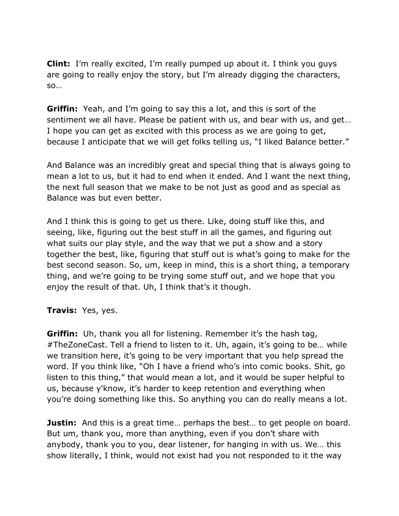**Clint:** I'm really excited, I'm really pumped up about it. I think you guys are going to really enjoy the story, but I'm already digging the characters, so…

**Griffin:** Yeah, and I'm going to say this a lot, and this is sort of the sentiment we all have. Please be patient with us, and bear with us, and get… I hope you can get as excited with this process as we are going to get, because I anticipate that we will get folks telling us, "I liked Balance better."

And Balance was an incredibly great and special thing that is always going to mean a lot to us, but it had to end when it ended. And I want the next thing, the next full season that we make to be not just as good and as special as Balance was but even better.

And I think this is going to get us there. Like, doing stuff like this, and seeing, like, figuring out the best stuff in all the games, and figuring out what suits our play style, and the way that we put a show and a story together the best, like, figuring that stuff out is what's going to make for the best second season. So, um, keep in mind, this is a short thing, a temporary thing, and we're going to be trying some stuff out, and we hope that you enjoy the result of that. Uh, I think that's it though.

#### **Travis:** Yes, yes.

**Griffin:** Uh, thank you all for listening. Remember it's the hash tag, #TheZoneCast. Tell a friend to listen to it. Uh, again, it's going to be… while we transition here, it's going to be very important that you help spread the word. If you think like, "Oh I have a friend who's into comic books. Shit, go listen to this thing," that would mean a lot, and it would be super helpful to us, because y'know, it's harder to keep retention and everything when you're doing something like this. So anything you can do really means a lot.

**Justin:** And this is a great time... perhaps the best... to get people on board. But um, thank you, more than anything, even if you don't share with anybody, thank you to you, dear listener, for hanging in with us. We… this show literally, I think, would not exist had you not responded to it the way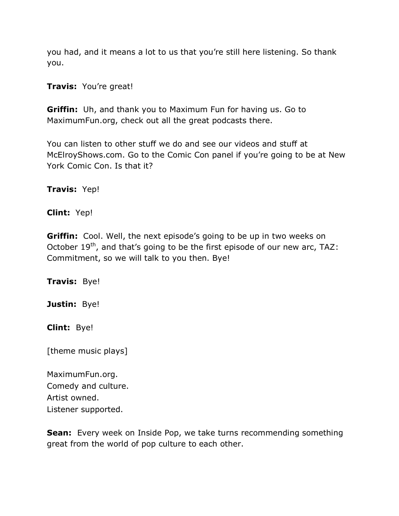you had, and it means a lot to us that you're still here listening. So thank you.

**Travis:** You're great!

**Griffin:** Uh, and thank you to Maximum Fun for having us. Go to MaximumFun.org, check out all the great podcasts there.

You can listen to other stuff we do and see our videos and stuff at McElroyShows.com. Go to the Comic Con panel if you're going to be at New York Comic Con. Is that it?

**Travis:** Yep!

**Clint:** Yep!

**Griffin:** Cool. Well, the next episode's going to be up in two weeks on October  $19^{th}$ , and that's going to be the first episode of our new arc, TAZ: Commitment, so we will talk to you then. Bye!

**Travis:** Bye!

**Justin:** Bye!

**Clint:** Bye!

[theme music plays]

MaximumFun.org. Comedy and culture. Artist owned. Listener supported.

**Sean:** Every week on Inside Pop, we take turns recommending something great from the world of pop culture to each other.